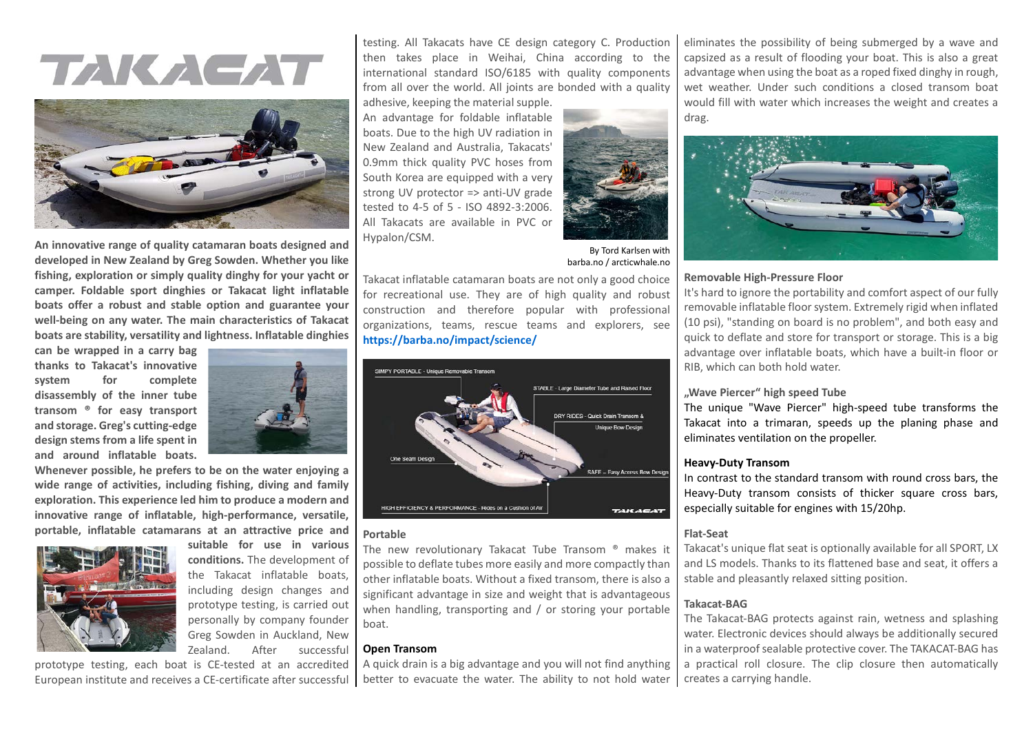## TAKAGAT



**An innovative range of quality catamaran boats designed and developed in New Zealand by Greg Sowden. Whether you like fishing, exploration or simply quality dinghy for your yacht or camper. Foldable sport dinghies or Takacat light inflatable boats offer a robust and stable option and guarantee your well-being on any water. The main characteristics of Takacat boats are stability, versatility and lightness. Inflatable dinghies** 

**can be wrapped in a carry bag thanks to Takacat's innovative system for complete disassembly of the inner tube transom ® for easy transport and storage. Greg's cutting-edge design stems from a life spent in and around inflatable boats.** 



**Whenever possible, he prefers to be on the water enjoying a wide range of activities, including fishing, diving and family exploration. This experience led him to produce a modern and innovative range of inflatable, high-performance, versatile, portable, inflatable catamarans at an attractive price and** 



**suitable for use in various conditions.** The development of the Takacat inflatable boats, including design changes and prototype testing, is carried out personally by company founder Greg Sowden in Auckland, New Zealand. After successful

prototype testing, each boat is CE-tested at an accredited European institute and receives a CE-certificate after successful

testing. All Takacats have CE design category C. Production then takes place in Weihai, China according to the international standard ISO/6185 with quality components from all over the world. All joints are bonded with a quality

adhesive, keeping the material supple. An advantage for foldable inflatable boats. Due to the high UV radiation in New Zealand and Australia, Takacats' 0.9mm thick quality PVC hoses from South Korea are equipped with a very strong UV protector => anti-UV grade tested to 4-5 of 5 - ISO 4892-3:2006. All Takacats are available in PVC or Hypalon/CSM.



By Tord Karlsen with barba.no / arcticwhale.no

Takacat inflatable catamaran boats are not only a good choice for recreational use. They are of high quality and robust construction and therefore popular with professional organizations, teams, rescue teams and explorers, see **<https://barba.no/impact/science/>**



#### **Portable**

The new revolutionary Takacat Tube Transom ® makes it possible to deflate tubes more easily and more compactly than other inflatable boats. Without a fixed transom, there is also a significant advantage in size and weight that is advantageous when handling, transporting and / or storing your portable boat.

#### **Open Transom**

A quick drain is a big advantage and you will not find anything better to evacuate the water. The ability to not hold water

eliminates the possibility of being submerged by a wave and capsized as a result of flooding your boat. This is also a great advantage when using the boat as a roped fixed dinghy in rough, wet weather. Under such conditions a closed transom boat would fill with water which increases the weight and creates a drag.



#### **Removable High-Pressure Floor**

It's hard to ignore the portability and comfort aspect of our fully removable inflatable floor system. Extremely rigid when inflated (10 psi), "standing on board is no problem", and both easy and quick to deflate and store for transport or storage. This is a big advantage over inflatable boats, which have a built-in floor or RIB, which can both hold water.

#### **"Wave Piercer" high speed Tube**

The unique "Wave Piercer" high-speed tube transforms the Takacat into a trimaran, speeds up the planing phase and eliminates ventilation on the propeller.

#### **Heavy-Duty Transom**

In contrast to the standard transom with round cross bars, the Heavy-Duty transom consists of thicker square cross bars, especially suitable for engines with 15/20hp.

#### **Flat-Seat**

Takacat's unique flat seat is optionally available for all SPORT, LX and LS models. Thanks to its flattened base and seat, it offers a stable and pleasantly relaxed sitting position.

#### **Takacat-BAG**

The Takacat-BAG protects against rain, wetness and splashing water. Electronic devices should always be additionally secured in a waterproof sealable protective cover. The TAKACAT-BAG has a practical roll closure. The clip closure then automatically creates a carrying handle.